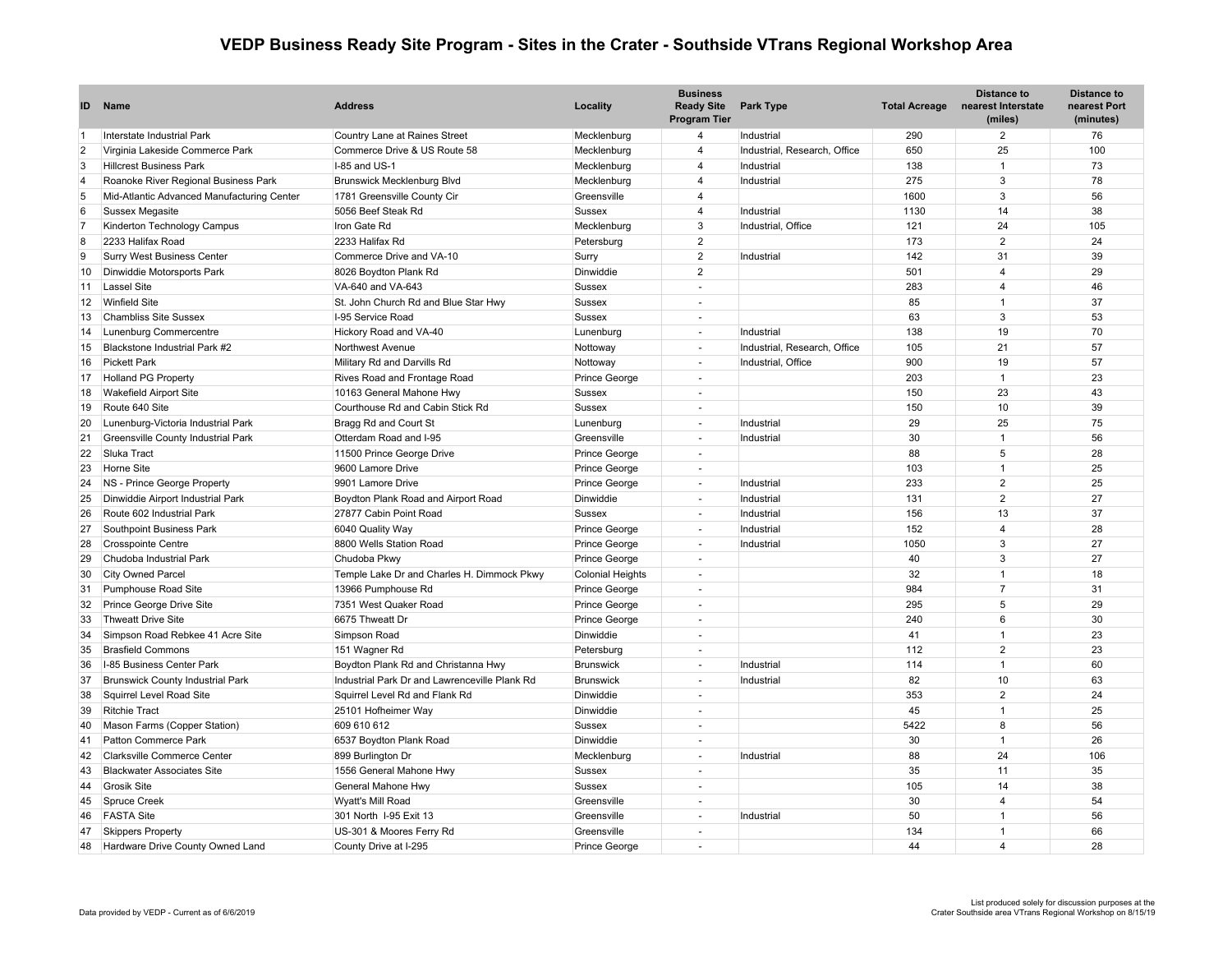## **VEDP Business Ready Site Program - Sites in the Crater - Southside VTrans Regional Workshop Area**

| ID             | <b>Name</b>                                | <b>Address</b>                                | Locality                | <b>Business</b><br><b>Ready Site</b><br><b>Program Tier</b> | Park Type                    | <b>Total Acreage</b> | <b>Distance to</b><br>nearest Interstate<br>(miles) | <b>Distance to</b><br>nearest Port<br>(minutes) |
|----------------|--------------------------------------------|-----------------------------------------------|-------------------------|-------------------------------------------------------------|------------------------------|----------------------|-----------------------------------------------------|-------------------------------------------------|
| $\vert$ 1      | Interstate Industrial Park                 | Country Lane at Raines Street                 | Mecklenburg             | $\overline{4}$                                              | Industrial                   | 290                  | 2                                                   | 76                                              |
| $\overline{c}$ | Virginia Lakeside Commerce Park            | Commerce Drive & US Route 58                  | Mecklenburg             | $\overline{\mathbf{A}}$                                     | Industrial, Research, Office | 650                  | 25                                                  | 100                                             |
| 3              | <b>Hillcrest Business Park</b>             | I-85 and US-1                                 | Mecklenburg             | $\overline{4}$                                              | Industrial                   | 138                  | $\overline{1}$                                      | 73                                              |
| $\overline{4}$ | Roanoke River Regional Business Park       | <b>Brunswick Mecklenburg Blvd</b>             | Mecklenburg             | $\overline{\mathbf{A}}$                                     | Industrial                   | 275                  | $\mathbf{3}$                                        | 78                                              |
| 5              | Mid-Atlantic Advanced Manufacturing Center | 1781 Greensville County Cir                   | Greensville             | $\overline{4}$                                              |                              | 1600                 | $\mathbf{3}$                                        | 56                                              |
| 6              | <b>Sussex Megasite</b>                     | 5056 Beef Steak Rd                            | Sussex                  | $\overline{\mathbf{4}}$                                     | Industrial                   | 1130                 | 14                                                  | 38                                              |
| 7              | Kinderton Technology Campus                | Iron Gate Rd                                  | Mecklenburg             | $\mathbf{3}$                                                | Industrial, Office           | 121                  | 24                                                  | 105                                             |
| 8              | 2233 Halifax Road                          | 2233 Halifax Rd                               | Petersburg              | $\overline{2}$                                              |                              | 173                  | 2                                                   | 24                                              |
| 9              | <b>Surry West Business Center</b>          | Commerce Drive and VA-10                      | Surry                   | $\overline{2}$                                              | Industrial                   | 142                  | 31                                                  | 39                                              |
| 10             | Dinwiddie Motorsports Park                 | 8026 Boydton Plank Rd                         | Dinwiddie               | $\overline{2}$                                              |                              | 501                  | $\overline{4}$                                      | 29                                              |
| 11             | Lassel Site                                | VA-640 and VA-643                             | Sussex                  |                                                             |                              | 283                  | $\overline{4}$                                      | 46                                              |
| 12             | <b>Winfield Site</b>                       | St. John Church Rd and Blue Star Hwy          | <b>Sussex</b>           |                                                             |                              | 85                   | $\overline{1}$                                      | 37                                              |
| 13             | <b>Chambliss Site Sussex</b>               | I-95 Service Road                             | <b>Sussex</b>           |                                                             |                              | 63                   | $\mathbf{3}$                                        | 53                                              |
| 14             | Lunenburg Commercentre                     | Hickory Road and VA-40                        | Lunenburg               | $\sim$                                                      | Industrial                   | 138                  | 19                                                  | 70                                              |
| 15             | Blackstone Industrial Park #2              | Northwest Avenue                              | Nottoway                | $\sim$                                                      | Industrial, Research, Office | 105                  | 21                                                  | 57                                              |
| 16             | <b>Pickett Park</b>                        | Military Rd and Darvills Rd                   | Nottoway                | ÷.                                                          | Industrial, Office           | 900                  | 19                                                  | 57                                              |
| 17             | <b>Holland PG Property</b>                 | Rives Road and Frontage Road                  | Prince George           | $\sim$                                                      |                              | 203                  | $\overline{1}$                                      | 23                                              |
| 18             | <b>Wakefield Airport Site</b>              | 10163 General Mahone Hwy                      | <b>Sussex</b>           | $\sim$                                                      |                              | 150                  | 23                                                  | 43                                              |
| 19             | Route 640 Site                             | Courthouse Rd and Cabin Stick Rd              | <b>Sussex</b>           | $\sim$                                                      |                              | 150                  | 10                                                  | 39                                              |
| 20             | Lunenburg-Victoria Industrial Park         | Bragg Rd and Court St                         | Lunenburg               | $\sim$                                                      | Industrial                   | 29                   | 25                                                  | 75                                              |
| 21             | Greensville County Industrial Park         | Otterdam Road and I-95                        | Greensville             | $\sim$                                                      | Industrial                   | 30                   | $\overline{1}$                                      | 56                                              |
| 22             | Sluka Tract                                | 11500 Prince George Drive                     | <b>Prince George</b>    | $\sim$                                                      |                              | 88                   | $5\phantom{.0}$                                     | 28                                              |
| 23             | <b>Horne Site</b>                          | 9600 Lamore Drive                             | <b>Prince George</b>    | $\sim$                                                      |                              | 103                  | $\overline{1}$                                      | 25                                              |
| 24             | NS - Prince George Property                | 9901 Lamore Drive                             | Prince George           | $\sim$                                                      | Industrial                   | 233                  | $\overline{2}$                                      | 25                                              |
| 25             | Dinwiddie Airport Industrial Park          | Boydton Plank Road and Airport Road           | Dinwiddie               | $\sim$                                                      | Industrial                   | 131                  | $\overline{2}$                                      | 27                                              |
| 26             | Route 602 Industrial Park                  | 27877 Cabin Point Road                        | Sussex                  | $\overline{\phantom{a}}$                                    | Industrial                   | 156                  | 13                                                  | 37                                              |
| 27             | Southpoint Business Park                   | 6040 Quality Way                              | <b>Prince George</b>    |                                                             | Industrial                   | 152                  | $\overline{4}$                                      | 28                                              |
| 28             | <b>Crosspointe Centre</b>                  | 8800 Wells Station Road                       | Prince George           |                                                             | Industrial                   | 1050                 | $\mathbf{3}$                                        | 27                                              |
| 29             | Chudoba Industrial Park                    | Chudoba Pkwy                                  | Prince George           | ÷.                                                          |                              | 40                   | 3                                                   | 27                                              |
| 30             | <b>City Owned Parcel</b>                   | Temple Lake Dr and Charles H. Dimmock Pkwy    | <b>Colonial Heights</b> | $\sim$                                                      |                              | 32                   | $\overline{1}$                                      | 18                                              |
| 31             | Pumphouse Road Site                        | 13966 Pumphouse Rd                            | Prince George           | $\sim$                                                      |                              | 984                  | $\overline{7}$                                      | 31                                              |
| 32             | Prince George Drive Site                   | 7351 West Quaker Road                         | Prince George           | $\overline{\phantom{a}}$                                    |                              | 295                  | $\overline{5}$                                      | 29                                              |
| 33             | Thweatt Drive Site                         | 6675 Thweatt Dr                               | Prince George           |                                                             |                              | 240                  | $6\phantom{1}6$                                     | 30                                              |
| 34             | Simpson Road Rebkee 41 Acre Site           | Simpson Road                                  | Dinwiddie               | $\sim$                                                      |                              | 41                   | $\overline{1}$                                      | 23                                              |
| 35             | <b>Brasfield Commons</b>                   | 151 Wagner Rd                                 | Petersburg              | $\sim$                                                      |                              | 112                  | $\overline{2}$                                      | 23                                              |
| 36             | I-85 Business Center Park                  | Boydton Plank Rd and Christanna Hwy           | Brunswick               | $\sim$                                                      | Industrial                   | 114                  | $\overline{1}$                                      | 60                                              |
| 37             | <b>Brunswick County Industrial Park</b>    | Industrial Park Dr and Lawrenceville Plank Rd | <b>Brunswick</b>        | $\sim$                                                      | Industrial                   | 82                   | 10                                                  | 63                                              |
| 38             | Squirrel Level Road Site                   | Squirrel Level Rd and Flank Rd                | Dinwiddie               | $\sim$                                                      |                              | 353                  | 2                                                   | 24                                              |
| 39             | <b>Ritchie Tract</b>                       | 25101 Hofheimer Way                           | Dinwiddie               | $\sim$                                                      |                              | 45                   | $\overline{1}$                                      | 25                                              |
| 40             | Mason Farms (Copper Station)               | 609 610 612                                   | <b>Sussex</b>           | $\sim$                                                      |                              | 5422                 | 8                                                   | 56                                              |
| 41             | Patton Commerce Park                       | 6537 Boydton Plank Road                       | Dinwiddie               | $\sim$                                                      |                              | 30                   | $\overline{1}$                                      | 26                                              |
| 42             | <b>Clarksville Commerce Center</b>         | 899 Burlington Dr                             | Mecklenburg             |                                                             | Industrial                   | 88                   | 24                                                  | 106                                             |
| 43             | <b>Blackwater Associates Site</b>          | 1556 General Mahone Hwy                       | Sussex                  | $\sim$                                                      |                              | 35                   | 11                                                  | 35                                              |
| 44             | <b>Grosik Site</b>                         | General Mahone Hwy                            | <b>Sussex</b>           | $\sim$                                                      |                              | 105                  | 14                                                  | 38                                              |
| 45             | Spruce Creek                               | Wyatt's Mill Road                             | Greensville             | ÷.                                                          |                              | 30                   | $\overline{4}$                                      | 54                                              |
| 46             | <b>FASTA Site</b>                          | 301 North I-95 Exit 13                        | Greensville             | $\sim$                                                      | Industrial                   | 50                   | $\overline{1}$                                      | 56                                              |
| 47             | <b>Skippers Property</b>                   | US-301 & Moores Ferry Rd                      | Greensville             | $\sim$                                                      |                              | 134                  | $\overline{1}$                                      | 66                                              |
| 48             | Hardware Drive County Owned Land           | County Drive at I-295                         | <b>Prince George</b>    |                                                             |                              | 44                   | $\overline{4}$                                      | 28                                              |